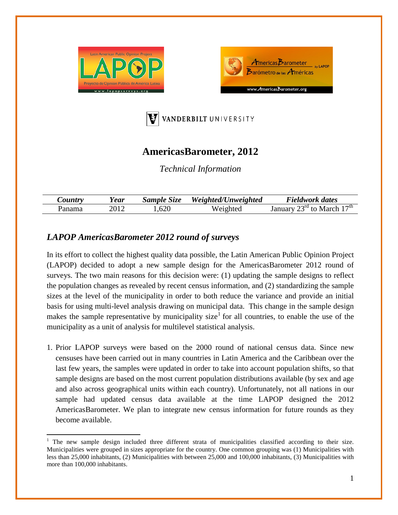





## **AmericasBarometer, 2012**

*Technical Information*

|        | rear   | $\sim$<br>Size<br>$sample$ | Weighted/Unweighted | Fieldwork dates                                  |
|--------|--------|----------------------------|---------------------|--------------------------------------------------|
| Panama | 40 I 4 | 620<br>⊥.∪∠∪               | $M$ eighter         | $17\,\mathrm{m}$<br>n Jiu<br>$+$ $\sim$<br>March |

## *LAPOP AmericasBarometer 2012 round of surveys*

In its effort to collect the highest quality data possible, the Latin American Public Opinion Project (LAPOP) decided to adopt a new sample design for the AmericasBarometer 2012 round of surveys. The two main reasons for this decision were: (1) updating the sample designs to reflect the population changes as revealed by recent census information, and (2) standardizing the sample sizes at the level of the municipality in order to both reduce the variance and provide an initial basis for using multi-level analysis drawing on municipal data. This change in the sample design makes the sample representative by municipality size<sup>[1](#page-0-0)</sup> for all countries, to enable the use of the municipality as a unit of analysis for multilevel statistical analysis.

1. Prior LAPOP surveys were based on the 2000 round of national census data. Since new censuses have been carried out in many countries in Latin America and the Caribbean over the last few years, the samples were updated in order to take into account population shifts, so that sample designs are based on the most current population distributions available (by sex and age and also across geographical units within each country). Unfortunately, not all nations in our sample had updated census data available at the time LAPOP designed the 2012 AmericasBarometer. We plan to integrate new census information for future rounds as they become available.

<span id="page-0-1"></span><span id="page-0-0"></span><sup>1</sup> The new sample design included three different strata of municipalities classified according to their size. Municipalities were grouped in sizes appropriate for the country. One common grouping was (1) Municipalities with less than 25,000 inhabitants, (2) Municipalities with between 25,000 and 100,000 inhabitants, (3) Municipalities with more than 100,000 inhabitants.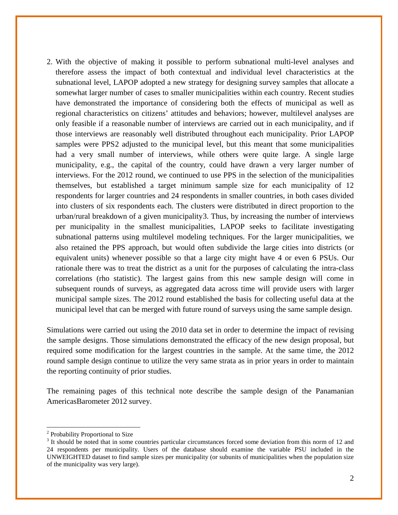2. With the objective of making it possible to perform subnational multi-level analyses and therefore assess the impact of both contextual and individual level characteristics at the subnational level, LAPOP adopted a new strategy for designing survey samples that allocate a somewhat larger number of cases to smaller municipalities within each country. Recent studies have demonstrated the importance of considering both the effects of municipal as well as regional characteristics on citizens' attitudes and behaviors; however, multilevel analyses are only feasible if a reasonable number of interviews are carried out in each municipality, and if those interviews are reasonably well distributed throughout each municipality. Prior LAPOP samples were PPS[2](#page-0-1) adjusted to the municipal level, but this meant that some municipalities had a very small number of interviews, while others were quite large. A single large municipality, e.g., the capital of the country, could have drawn a very larger number of interviews. For the 2012 round, we continued to use PPS in the selection of the municipalities themselves, but established a target minimum sample size for each municipality of 12 respondents for larger countries and 24 respondents in smaller countries, in both cases divided into clusters of six respondents each. The clusters were distributed in direct proportion to the urban/rural breakdown of a given municipality[3](#page-1-0). Thus, by increasing the number of interviews per municipality in the smallest municipalities, LAPOP seeks to facilitate investigating subnational patterns using multilevel modeling techniques. For the larger municipalities, we also retained the PPS approach, but would often subdivide the large cities into districts (or equivalent units) whenever possible so that a large city might have 4 or even 6 PSUs. Our rationale there was to treat the district as a unit for the purposes of calculating the intra-class correlations (rho statistic). The largest gains from this new sample design will come in subsequent rounds of surveys, as aggregated data across time will provide users with larger municipal sample sizes. The 2012 round established the basis for collecting useful data at the municipal level that can be merged with future round of surveys using the same sample design.

Simulations were carried out using the 2010 data set in order to determine the impact of revising the sample designs. Those simulations demonstrated the efficacy of the new design proposal, but required some modification for the largest countries in the sample. At the same time, the 2012 round sample design continue to utilize the very same strata as in prior years in order to maintain the reporting continuity of prior studies.

The remaining pages of this technical note describe the sample design of the Panamanian AmericasBarometer 2012 survey.

<sup>2</sup> Probability Proportional to Size

<span id="page-1-0"></span><sup>&</sup>lt;sup>3</sup> It should be noted that in some countries particular circumstances forced some deviation from this norm of 12 and 24 respondents per municipality. Users of the database should examine the variable PSU included in the UNWEIGHTED dataset to find sample sizes per municipality (or subunits of municipalities when the population size of the municipality was very large).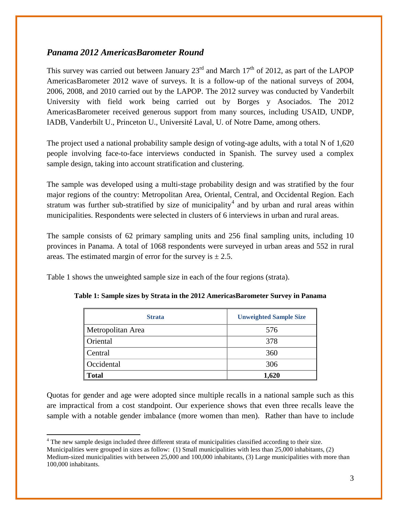## *Panama 2012 AmericasBarometer Round*

This survey was carried out between January  $23<sup>rd</sup>$  and March  $17<sup>th</sup>$  of 2012, as part of the LAPOP AmericasBarometer 2012 wave of surveys. It is a follow-up of the national surveys of 2004, 2006, 2008, and 2010 carried out by the LAPOP. The 2012 survey was conducted by Vanderbilt University with field work being carried out by Borges y Asociados. The 2012 AmericasBarometer received generous support from many sources, including USAID, UNDP, IADB, Vanderbilt U., Princeton U., Université Laval, U. of Notre Dame, among others.

The project used a national probability sample design of voting-age adults, with a total N of 1,620 people involving face-to-face interviews conducted in Spanish. The survey used a complex sample design, taking into account stratification and clustering.

The sample was developed using a multi-stage probability design and was stratified by the four major regions of the country: Metropolitan Area, Oriental, Central, and Occidental Region. Each stratum was further sub-stratified by size of municipality<sup>[4](#page-1-0)</sup> and by urban and rural areas within municipalities. Respondents were selected in clusters of 6 interviews in urban and rural areas.

The sample consists of 62 primary sampling units and 256 final sampling units, including 10 provinces in Panama. A total of 1068 respondents were surveyed in urban areas and 552 in rural areas. The estimated margin of error for the survey is  $\pm 2.5$ .

Table 1 shows the unweighted sample size in each of the four regions (strata).

| <b>Strata</b>     | <b>Unweighted Sample Size</b> |
|-------------------|-------------------------------|
| Metropolitan Area | 576                           |
| Oriental          | 378                           |
| Central           | 360                           |
| Occidental        | 306                           |
| <b>Total</b>      | 1,620                         |

**Table 1: Sample sizes by Strata in the 2012 AmericasBarometer Survey in Panama**

Quotas for gender and age were adopted since multiple recalls in a national sample such as this are impractical from a cost standpoint. Our experience shows that even three recalls leave the sample with a notable gender imbalance (more women than men). Rather than have to include

<sup>4</sup> The new sample design included three different strata of municipalities classified according to their size.

Municipalities were grouped in sizes as follow: (1) Small municipalities with less than 25,000 inhabitants, (2) Medium-sized municipalities with between 25,000 and 100,000 inhabitants, (3) Large municipalities with more than 100,000 inhabitants.